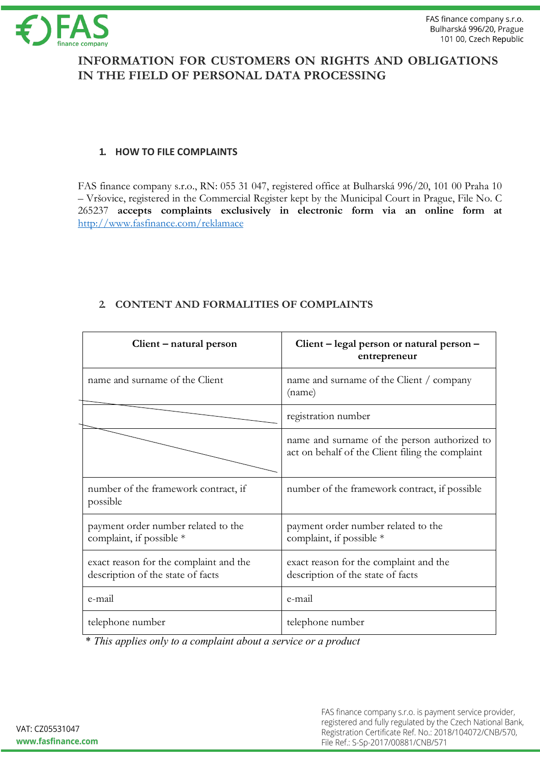

# **INFORMATION FOR CUSTOMERS ON RIGHTS AND OBLIGATIONS IN THE FIELD OF PERSONAL DATA PROCESSING**

### **1. HOW TO FILE COMPLAINTS**

FAS finance company s.r.o., RN: 055 31 047, registered office at Bulharská 996/20, 101 00 Praha 10 – Vršovice, registered in the Commercial Register kept by the Municipal Court in Prague, File No. C 265237 **accepts complaints exclusively in electronic form via an online form at** http://www.fasfinance.com/reklamace

| Client – natural person                                                     | Client - legal person or natural person -<br>entrepreneur                                        |
|-----------------------------------------------------------------------------|--------------------------------------------------------------------------------------------------|
| name and surname of the Client                                              | name and surname of the Client / company<br>(name)                                               |
|                                                                             | registration number                                                                              |
|                                                                             | name and surname of the person authorized to<br>act on behalf of the Client filing the complaint |
| number of the framework contract, if<br>possible                            | number of the framework contract, if possible                                                    |
| payment order number related to the<br>complaint, if possible *             | payment order number related to the<br>complaint, if possible *                                  |
| exact reason for the complaint and the<br>description of the state of facts | exact reason for the complaint and the<br>description of the state of facts                      |
| e-mail                                                                      | e-mail                                                                                           |
| telephone number                                                            | telephone number                                                                                 |

# **2. CONTENT AND FORMALITIES OF COMPLAINTS**

\* *This applies only to a complaint about a service or a product*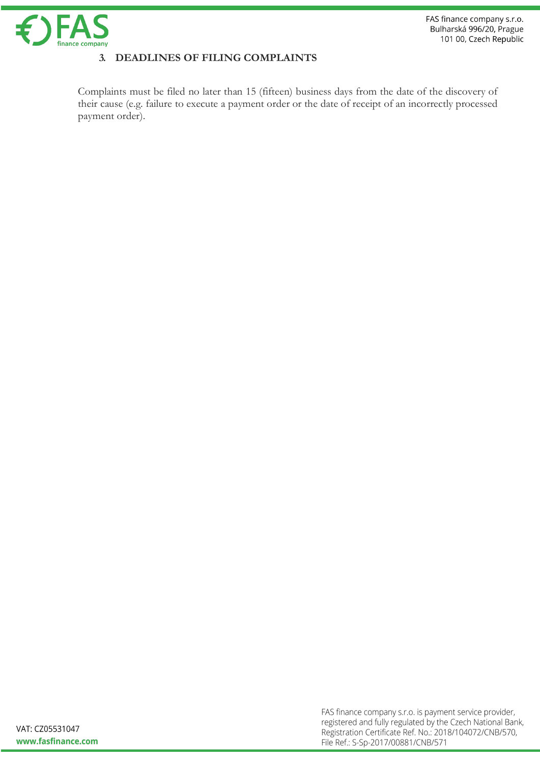

## **3. DEADLINES OF FILING COMPLAINTS**

Complaints must be filed no later than 15 (fifteen) business days from the date of the discovery of their cause (e.g. failure to execute a payment order or the date of receipt of an incorrectly processed payment order).